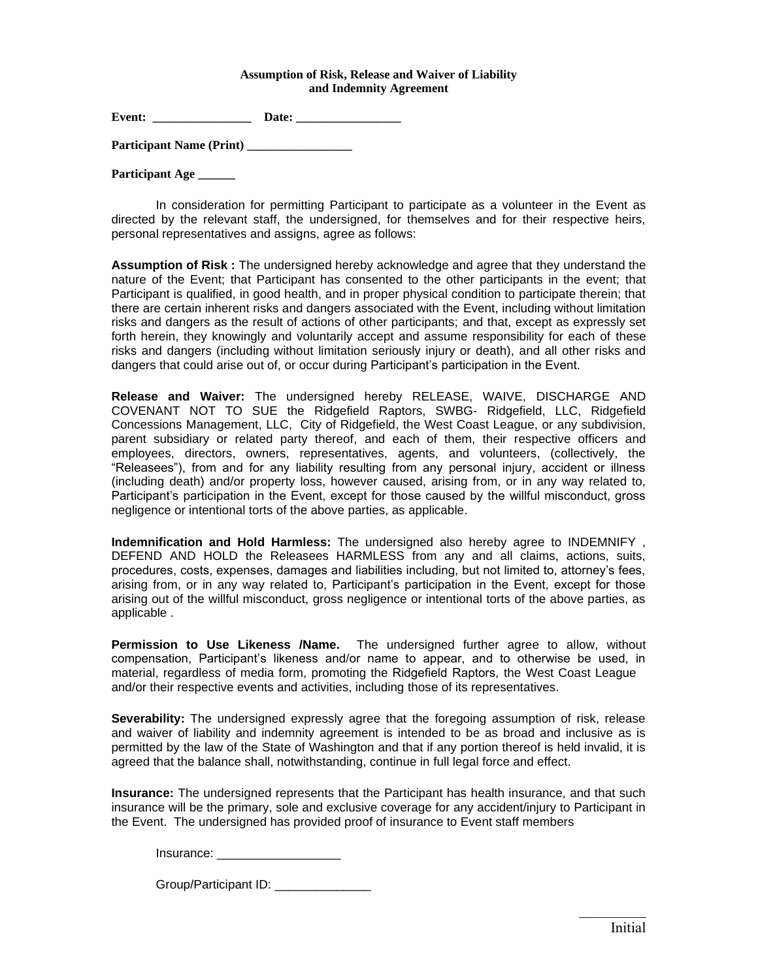## **Assumption of Risk, Release and Waiver of Liability and Indemnity Agreement**

Event: Date:

Participant Name (Print)

**Participant Age \_\_\_\_\_\_**

In consideration for permitting Participant to participate as a volunteer in the Event as directed by the relevant staff, the undersigned, for themselves and for their respective heirs, personal representatives and assigns, agree as follows:

**Assumption of Risk :** The undersigned hereby acknowledge and agree that they understand the nature of the Event; that Participant has consented to the other participants in the event; that Participant is qualified, in good health, and in proper physical condition to participate therein; that there are certain inherent risks and dangers associated with the Event, including without limitation risks and dangers as the result of actions of other participants; and that, except as expressly set forth herein, they knowingly and voluntarily accept and assume responsibility for each of these risks and dangers (including without limitation seriously injury or death), and all other risks and dangers that could arise out of, or occur during Participant's participation in the Event.

**Release and Waiver:** The undersigned hereby RELEASE, WAIVE, DISCHARGE AND COVENANT NOT TO SUE the Ridgefield Raptors, SWBG- Ridgefield, LLC, Ridgefield Concessions Management, LLC, City of Ridgefield, the West Coast League, or any subdivision, parent subsidiary or related party thereof, and each of them, their respective officers and employees, directors, owners, representatives, agents, and volunteers, (collectively, the "Releasees"), from and for any liability resulting from any personal injury, accident or illness (including death) and/or property loss, however caused, arising from, or in any way related to, Participant's participation in the Event, except for those caused by the willful misconduct, gross negligence or intentional torts of the above parties, as applicable.

**Indemnification and Hold Harmless:** The undersigned also hereby agree to INDEMNIFY , DEFEND AND HOLD the Releasees HARMLESS from any and all claims, actions, suits, procedures, costs, expenses, damages and liabilities including, but not limited to, attorney's fees, arising from, or in any way related to, Participant's participation in the Event, except for those arising out of the willful misconduct, gross negligence or intentional torts of the above parties, as applicable .

**Permission to Use Likeness /Name.** The undersigned further agree to allow, without compensation, Participant's likeness and/or name to appear, and to otherwise be used, in material, regardless of media form, promoting the Ridgefield Raptors, the West Coast League and/or their respective events and activities, including those of its representatives.

**Severability:** The undersigned expressly agree that the foregoing assumption of risk, release and waiver of liability and indemnity agreement is intended to be as broad and inclusive as is permitted by the law of the State of Washington and that if any portion thereof is held invalid, it is agreed that the balance shall, notwithstanding, continue in full legal force and effect.

**Insurance:** The undersigned represents that the Participant has health insurance, and that such insurance will be the primary, sole and exclusive coverage for any accident/injury to Participant in the Event. The undersigned has provided proof of insurance to Event staff members

Group/Participant ID: